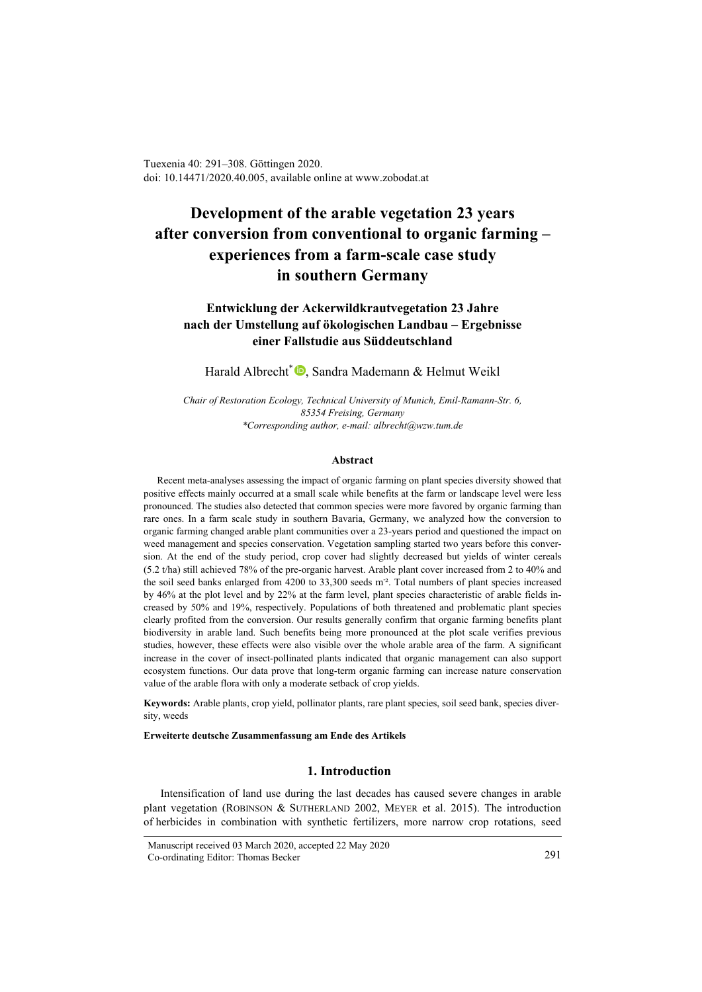Tuexenia 40: 291–308. Göttingen 2020. doi: 10.14471/2020.40.005, available online a[t www.zobodat.at](http://www.zobodat.at/)

# **Development of the arable vegetation 23 years after conversion from conventional to organic farming – experiences from a farm-scale case study in southern Germany**

## **Entwicklung der Ackerwildkrautvegetation 23 Jahre nach der Umstellung auf ökologischen Landbau – Ergebnisse einer Fallstudie aus Süddeutschland**

Harald Albrecht<sup>\*</sup> **D**, Sandra Mademann & Helmut Weikl

*Chair of Restoration Ecology, Technical University of Munich, Emil-Ramann-Str. 6, 85354 Freising, Germany \*Corresponding author, e-mail: albrecht@wzw.tum.de*

#### **Abstract**

Recent meta-analyses assessing the impact of organic farming on plant species diversity showed that positive effects mainly occurred at a small scale while benefits at the farm or landscape level were less pronounced. The studies also detected that common species were more favored by organic farming than rare ones. In a farm scale study in southern Bavaria, Germany, we analyzed how the conversion to organic farming changed arable plant communities over a 23-years period and questioned the impact on weed management and species conservation. Vegetation sampling started two years before this conversion. At the end of the study period, crop cover had slightly decreased but yields of winter cereals (5.2 t/ha) still achieved 78% of the pre-organic harvest. Arable plant cover increased from 2 to 40% and the soil seed banks enlarged from 4200 to 33,300 seeds m<sup>-2</sup>. Total numbers of plant species increased by 46% at the plot level and by 22% at the farm level, plant species characteristic of arable fields increased by 50% and 19%, respectively. Populations of both threatened and problematic plant species clearly profited from the conversion. Our results generally confirm that organic farming benefits plant biodiversity in arable land. Such benefits being more pronounced at the plot scale verifies previous studies, however, these effects were also visible over the whole arable area of the farm. A significant increase in the cover of insect-pollinated plants indicated that organic management can also support ecosystem functions. Our data prove that long-term organic farming can increase nature conservation value of the arable flora with only a moderate setback of crop yields.

**Keywords:** Arable plants, crop yield, pollinator plants, rare plant species, soil seed bank, species diversity, weeds

#### **Erweiterte deutsche Zusammenfassung am Ende des Artikels**

## **1. Introduction**

Intensification of land use during the last decades has caused severe changes in arable plant vegetation (ROBINSON & SUTHERLAND 2002, MEYER et al. 2015). The introduction of herbicides in combination with synthetic fertilizers, more narrow crop rotations, seed

Manuscript received 03 March 2020, accepted 22 May 2020 Co-ordinating Editor: Thomas Becker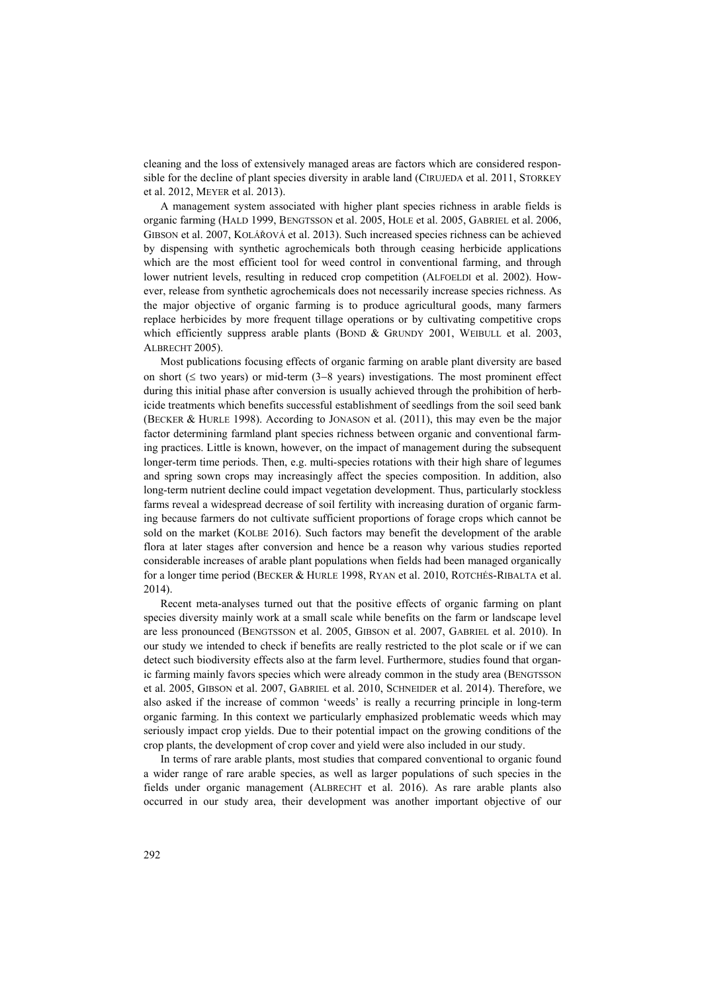cleaning and the loss of extensively managed areas are factors which are considered responsible for the decline of plant species diversity in arable land (CIRUJEDA et al. 2011, STORKEY et al. 2012, MEYER et al. 2013).

A management system associated with higher plant species richness in arable fields is organic farming (HALD 1999, BENGTSSON et al. 2005, HOLE et al. 2005, GABRIEL et al. 2006, GIBSON et al. 2007, KOLÁŘOVÁ et al. 2013). Such increased species richness can be achieved by dispensing with synthetic agrochemicals both through ceasing herbicide applications which are the most efficient tool for weed control in conventional farming, and through lower nutrient levels, resulting in reduced crop competition (ALFOELDI et al. 2002). However, release from synthetic agrochemicals does not necessarily increase species richness. As the major objective of organic farming is to produce agricultural goods, many farmers replace herbicides by more frequent tillage operations or by cultivating competitive crops which efficiently suppress arable plants (BOND & GRUNDY 2001, WEIBULL et al. 2003, ALBRECHT 2005).

Most publications focusing effects of organic farming on arable plant diversity are based on short (≤ two years) or mid-term (3−8 years) investigations. The most prominent effect during this initial phase after conversion is usually achieved through the prohibition of herbicide treatments which benefits successful establishment of seedlings from the soil seed bank (BECKER & HURLE 1998). According to JONASON et al. (2011), this may even be the major factor determining farmland plant species richness between organic and conventional farming practices. Little is known, however, on the impact of management during the subsequent longer-term time periods. Then, e.g. multi-species rotations with their high share of legumes and spring sown crops may increasingly affect the species composition. In addition, also long-term nutrient decline could impact vegetation development. Thus, particularly stockless farms reveal a widespread decrease of soil fertility with increasing duration of organic farming because farmers do not cultivate sufficient proportions of forage crops which cannot be sold on the market (KOLBE 2016). Such factors may benefit the development of the arable flora at later stages after conversion and hence be a reason why various studies reported considerable increases of arable plant populations when fields had been managed organically for a longer time period (BECKER & HURLE 1998, RYAN et al. 2010, ROTCHÉS-RIBALTA et al. 2014).

Recent meta-analyses turned out that the positive effects of organic farming on plant species diversity mainly work at a small scale while benefits on the farm or landscape level are less pronounced (BENGTSSON et al. 2005, GIBSON et al. 2007, GABRIEL et al. 2010). In our study we intended to check if benefits are really restricted to the plot scale or if we can detect such biodiversity effects also at the farm level. Furthermore, studies found that organic farming mainly favors species which were already common in the study area (BENGTSSON et al. 2005, GIBSON et al. 2007, GABRIEL et al. 2010, SCHNEIDER et al. 2014). Therefore, we also asked if the increase of common 'weeds' is really a recurring principle in long-term organic farming. In this context we particularly emphasized problematic weeds which may seriously impact crop yields. Due to their potential impact on the growing conditions of the crop plants, the development of crop cover and yield were also included in our study.

In terms of rare arable plants, most studies that compared conventional to organic found a wider range of rare arable species, as well as larger populations of such species in the fields under organic management (ALBRECHT et al. 2016). As rare arable plants also occurred in our study area, their development was another important objective of our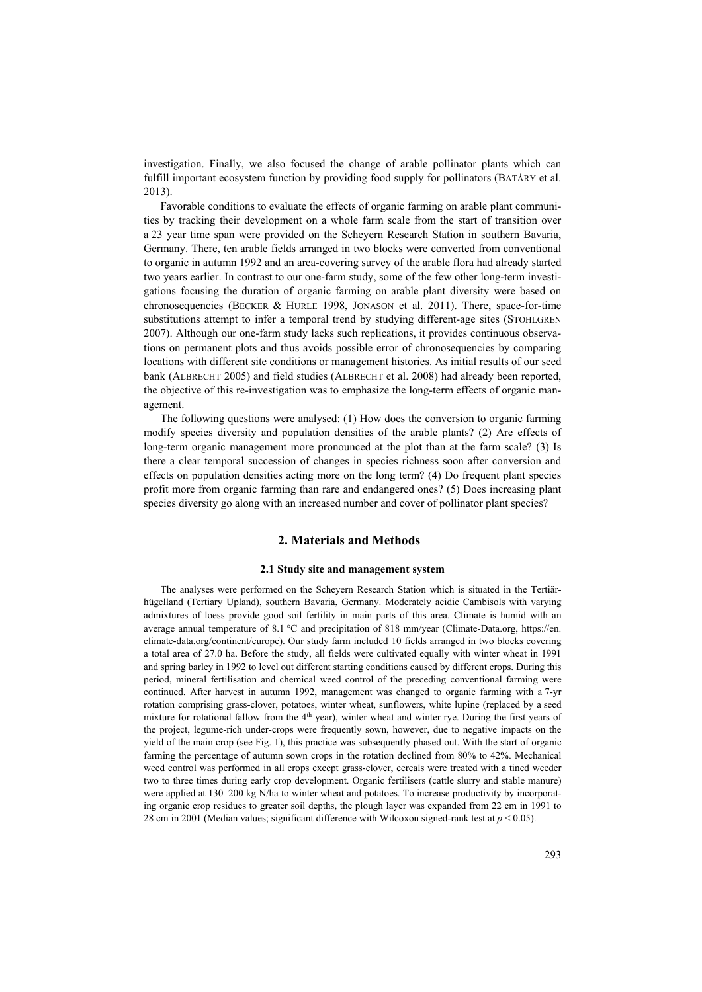investigation. Finally, we also focused the change of arable pollinator plants which can fulfill important ecosystem function by providing food supply for pollinators (BATÁRY et al. 2013).

Favorable conditions to evaluate the effects of organic farming on arable plant communities by tracking their development on a whole farm scale from the start of transition over a 23 year time span were provided on the Scheyern Research Station in southern Bavaria, Germany. There, ten arable fields arranged in two blocks were converted from conventional to organic in autumn 1992 and an area-covering survey of the arable flora had already started two years earlier. In contrast to our one-farm study, some of the few other long-term investigations focusing the duration of organic farming on arable plant diversity were based on chronosequencies (BECKER & HURLE 1998, JONASON et al. 2011). There, space-for-time substitutions attempt to infer a temporal trend by studying different-age sites (STOHLGREN 2007). Although our one-farm study lacks such replications, it provides continuous observations on permanent plots and thus avoids possible error of chronosequencies by comparing locations with different site conditions or management histories. As initial results of our seed bank (ALBRECHT 2005) and field studies (ALBRECHT et al. 2008) had already been reported, the objective of this re-investigation was to emphasize the long-term effects of organic management.

The following questions were analysed: (1) How does the conversion to organic farming modify species diversity and population densities of the arable plants? (2) Are effects of long-term organic management more pronounced at the plot than at the farm scale? (3) Is there a clear temporal succession of changes in species richness soon after conversion and effects on population densities acting more on the long term? (4) Do frequent plant species profit more from organic farming than rare and endangered ones? (5) Does increasing plant species diversity go along with an increased number and cover of pollinator plant species?

## **2. Materials and Methods**

## **2.1 Study site and management system**

The analyses were performed on the Scheyern Research Station which is situated in the Tertiärhügelland (Tertiary Upland), southern Bavaria, Germany. Moderately acidic Cambisols with varying admixtures of loess provide good soil fertility in main parts of this area. Climate is humid with an average annual temperature of  $8.1 \degree C$  and precipitation of  $818 \text{ mm/year}$  (Climate-Data.org, https://en. climate-data.org/continent/europe). Our study farm included 10 fields arranged in two blocks covering a total area of 27.0 ha. Before the study, all fields were cultivated equally with winter wheat in 1991 and spring barley in 1992 to level out different starting conditions caused by different crops. During this period, mineral fertilisation and chemical weed control of the preceding conventional farming were continued. After harvest in autumn 1992, management was changed to organic farming with a 7-yr rotation comprising grass-clover, potatoes, winter wheat, sunflowers, white lupine (replaced by a seed mixture for rotational fallow from the 4th year), winter wheat and winter rye. During the first years of the project, legume-rich under-crops were frequently sown, however, due to negative impacts on the yield of the main crop (see Fig. 1), this practice was subsequently phased out. With the start of organic farming the percentage of autumn sown crops in the rotation declined from 80% to 42%. Mechanical weed control was performed in all crops except grass-clover, cereals were treated with a tined weeder two to three times during early crop development. Organic fertilisers (cattle slurry and stable manure) were applied at 130–200 kg N/ha to winter wheat and potatoes. To increase productivity by incorporating organic crop residues to greater soil depths, the plough layer was expanded from 22 cm in 1991 to 28 cm in 2001 (Median values; significant difference with Wilcoxon signed-rank test at  $p < 0.05$ ).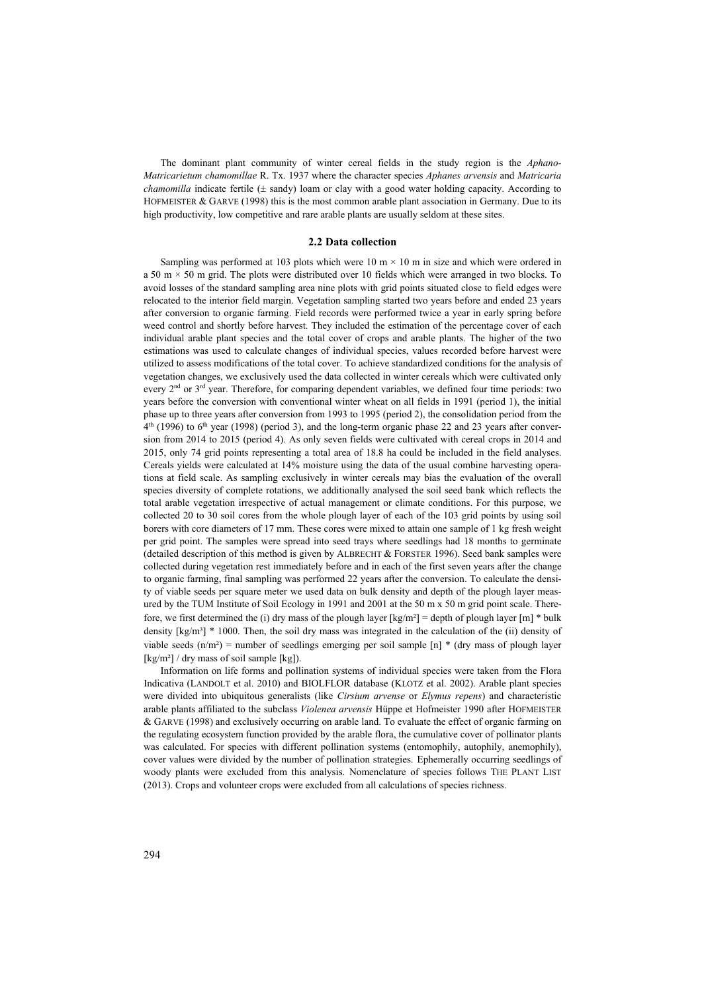The dominant plant community of winter cereal fields in the study region is the *Aphano-Matricarietum chamomillae* R. Tx. 1937 where the character species *Aphanes arvensis* and *Matricaria chamomilla* indicate fertile (± sandy) loam or clay with a good water holding capacity. According to HOFMEISTER & GARVE (1998) this is the most common arable plant association in Germany. Due to its high productivity, low competitive and rare arable plants are usually seldom at these sites.

#### **2.2 Data collection**

Sampling was performed at 103 plots which were  $10 \text{ m} \times 10 \text{ m}$  in size and which were ordered in a 50 m × 50 m grid. The plots were distributed over 10 fields which were arranged in two blocks. To avoid losses of the standard sampling area nine plots with grid points situated close to field edges were relocated to the interior field margin. Vegetation sampling started two years before and ended 23 years after conversion to organic farming. Field records were performed twice a year in early spring before weed control and shortly before harvest. They included the estimation of the percentage cover of each individual arable plant species and the total cover of crops and arable plants. The higher of the two estimations was used to calculate changes of individual species, values recorded before harvest were utilized to assess modifications of the total cover. To achieve standardized conditions for the analysis of vegetation changes, we exclusively used the data collected in winter cereals which were cultivated only every 2<sup>nd</sup> or 3<sup>rd</sup> year. Therefore, for comparing dependent variables, we defined four time periods: two years before the conversion with conventional winter wheat on all fields in 1991 (period 1), the initial phase up to three years after conversion from 1993 to 1995 (period 2), the consolidation period from the  $4<sup>th</sup>$  (1996) to  $6<sup>th</sup>$  year (1998) (period 3), and the long-term organic phase 22 and 23 years after conversion from 2014 to 2015 (period 4). As only seven fields were cultivated with cereal crops in 2014 and 2015, only 74 grid points representing a total area of 18.8 ha could be included in the field analyses. Cereals yields were calculated at 14% moisture using the data of the usual combine harvesting operations at field scale. As sampling exclusively in winter cereals may bias the evaluation of the overall species diversity of complete rotations, we additionally analysed the soil seed bank which reflects the total arable vegetation irrespective of actual management or climate conditions. For this purpose, we collected 20 to 30 soil cores from the whole plough layer of each of the 103 grid points by using soil borers with core diameters of 17 mm. These cores were mixed to attain one sample of 1 kg fresh weight per grid point. The samples were spread into seed trays where seedlings had 18 months to germinate (detailed description of this method is given by ALBRECHT & FORSTER 1996). Seed bank samples were collected during vegetation rest immediately before and in each of the first seven years after the change to organic farming, final sampling was performed 22 years after the conversion. To calculate the density of viable seeds per square meter we used data on bulk density and depth of the plough layer measured by the TUM Institute of Soil Ecology in 1991 and 2001 at the 50 m x 50 m grid point scale. Therefore, we first determined the (i) dry mass of the plough layer  $[kg/m^2] =$  depth of plough layer  $[m]^*$  bulk density  $\lceil \log/m^3 \rceil$  \* 1000. Then, the soil dry mass was integrated in the calculation of the (ii) density of viable seeds  $(n/m^2)$  = number of seedlings emerging per soil sample [n] \* (dry mass of plough layer  $\lceil \frac{kg}{m^2} \rceil$  / dry mass of soil sample  $\lceil \frac{kg}{m^2} \rceil$ .

Information on life forms and pollination systems of individual species were taken from the Flora Indicativa (LANDOLT et al. 2010) and BIOLFLOR database (KLOTZ et al. 2002). Arable plant species were divided into ubiquitous generalists (like *Cirsium arvense* or *Elymus repens*) and characteristic arable plants affiliated to the subclass *Violenea arvensis* Hüppe et Hofmeister 1990 after HOFMEISTER & GARVE (1998) and exclusively occurring on arable land. To evaluate the effect of organic farming on the regulating ecosystem function provided by the arable flora, the cumulative cover of pollinator plants was calculated. For species with different pollination systems (entomophily, autophily, anemophily), cover values were divided by the number of pollination strategies. Ephemerally occurring seedlings of woody plants were excluded from this analysis. Nomenclature of species follows THE PLANT LIST (2013). Crops and volunteer crops were excluded from all calculations of species richness.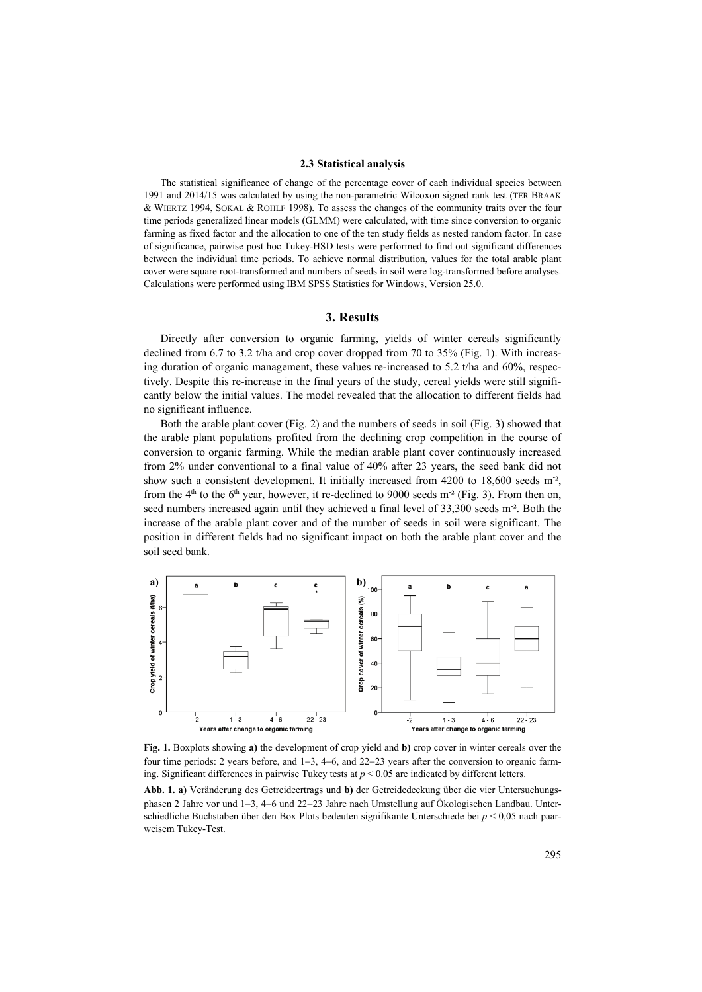## **2.3 Statistical analysis**

The statistical significance of change of the percentage cover of each individual species between 1991 and 2014/15 was calculated by using the non-parametric Wilcoxon signed rank test (TER BRAAK & WIERTZ 1994, SOKAL & ROHLF 1998). To assess the changes of the community traits over the four time periods generalized linear models (GLMM) were calculated, with time since conversion to organic farming as fixed factor and the allocation to one of the ten study fields as nested random factor. In case of significance, pairwise post hoc Tukey-HSD tests were performed to find out significant differences between the individual time periods. To achieve normal distribution, values for the total arable plant cover were square root-transformed and numbers of seeds in soil were log-transformed before analyses. Calculations were performed using IBM SPSS Statistics for Windows, Version 25.0.

## **3. Results**

Directly after conversion to organic farming, yields of winter cereals significantly declined from 6.7 to 3.2 t/ha and crop cover dropped from 70 to 35% (Fig. 1). With increasing duration of organic management, these values re-increased to 5.2 t/ha and  $60\%$ , respectively. Despite this re-increase in the final years of the study, cereal yields were still significantly below the initial values. The model revealed that the allocation to different fields had no significant influence.

Both the arable plant cover (Fig. 2) and the numbers of seeds in soil (Fig. 3) showed that the arable plant populations profited from the declining crop competition in the course of conversion to organic farming. While the median arable plant cover continuously increased from 2% under conventional to a final value of 40% after 23 years, the seed bank did not show such a consistent development. It initially increased from 4200 to 18,600 seeds m<sup>-2</sup>, from the  $4<sup>th</sup>$  to the 6<sup>th</sup> year, however, it re-declined to 9000 seeds m<sup>-2</sup> (Fig. 3). From then on, seed numbers increased again until they achieved a final level of 33,300 seeds m<sup>-2</sup>. Both the increase of the arable plant cover and of the number of seeds in soil were significant. The position in different fields had no significant impact on both the arable plant cover and the soil seed bank.



**Fig. 1.** Boxplots showing **a)** the development of crop yield and **b)** crop cover in winter cereals over the four time periods: 2 years before, and 1−3, 4−6, and 22−23 years after the conversion to organic farming. Significant differences in pairwise Tukey tests at *p* < 0.05 are indicated by different letters.

**Abb. 1. a)** Veränderung des Getreideertrags und **b)** der Getreidedeckung über die vier Untersuchungsphasen 2 Jahre vor und 1−3, 4−6 und 22−23 Jahre nach Umstellung auf Ökologischen Landbau. Unterschiedliche Buchstaben über den Box Plots bedeuten signifikante Unterschiede bei *p* < 0,05 nach paarweisem Tukey-Test.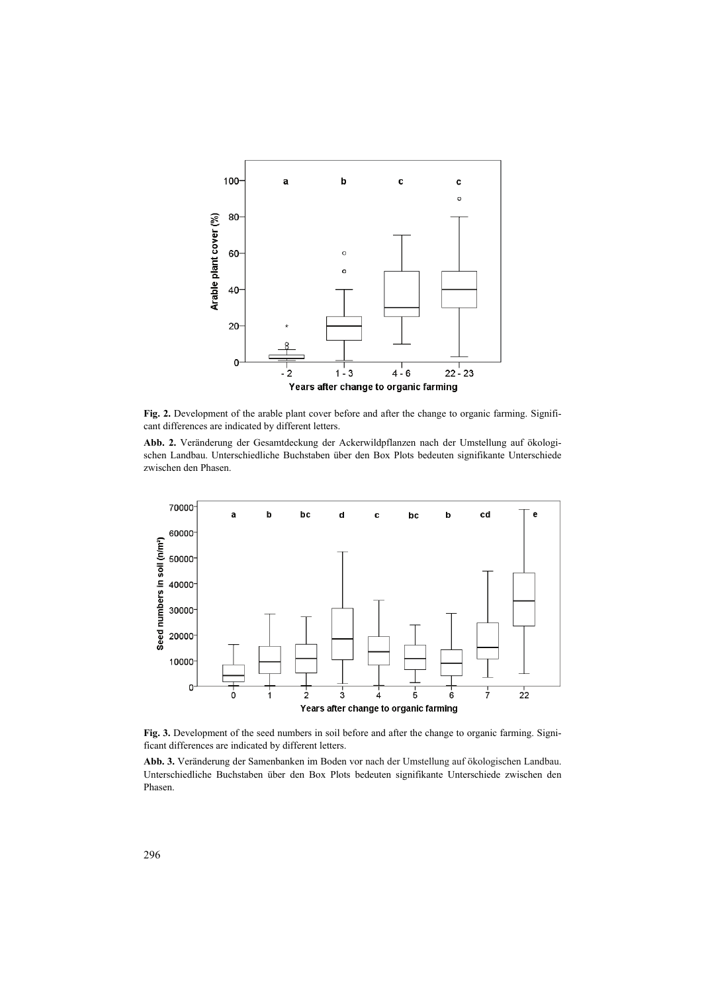

**Fig. 2.** Development of the arable plant cover before and after the change to organic farming. Significant differences are indicated by different letters.

**Abb. 2.** Veränderung der Gesamtdeckung der Ackerwildpflanzen nach der Umstellung auf ökologischen Landbau. Unterschiedliche Buchstaben über den Box Plots bedeuten signifikante Unterschiede zwischen den Phasen.



Fig. 3. Development of the seed numbers in soil before and after the change to organic farming. Significant differences are indicated by different letters.

**Abb. 3.** Veränderung der Samenbanken im Boden vor nach der Umstellung auf ökologischen Landbau. Unterschiedliche Buchstaben über den Box Plots bedeuten signifikante Unterschiede zwischen den Phasen.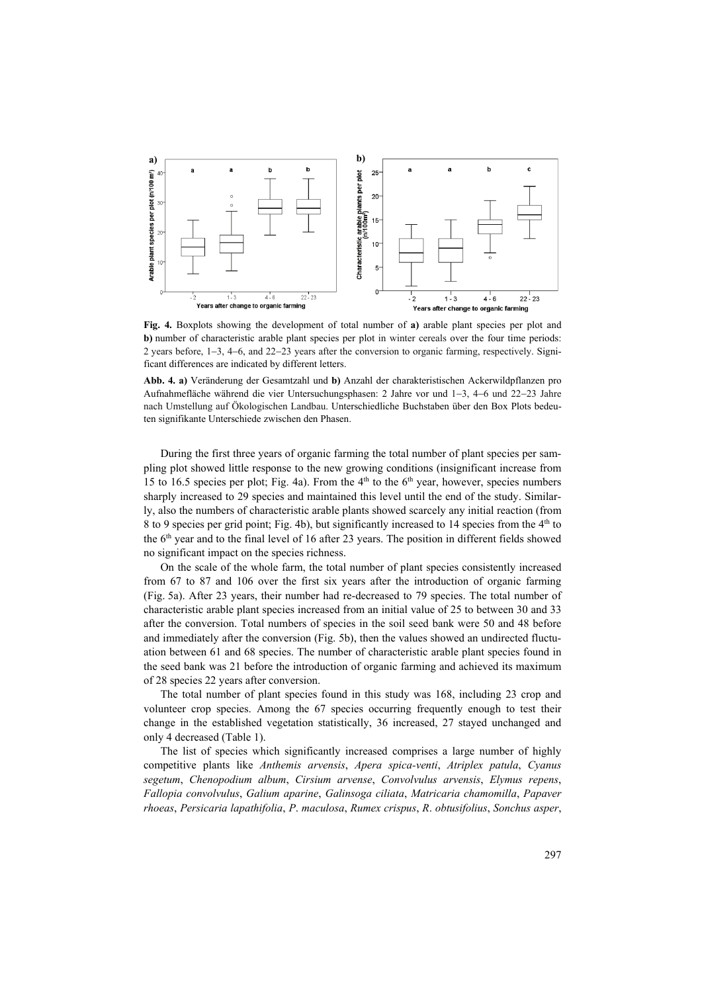

**Fig. 4.** Boxplots showing the development of total number of **a)** arable plant species per plot and **b**) number of characteristic arable plant species per plot in winter cereals over the four time periods: 2 years before, 1−3, 4−6, and 22−23 years after the conversion to organic farming, respectively. Significant differences are indicated by different letters.

**Abb. 4. a)** Veränderung der Gesamtzahl und **b)** Anzahl der charakteristischen Ackerwildpflanzen pro Aufnahmefläche während die vier Untersuchungsphasen: 2 Jahre vor und 1−3, 4−6 und 22−23 Jahre nach Umstellung auf Ökologischen Landbau. Unterschiedliche Buchstaben über den Box Plots bedeuten signifikante Unterschiede zwischen den Phasen.

During the first three years of organic farming the total number of plant species per sampling plot showed little response to the new growing conditions (insignificant increase from 15 to 16.5 species per plot; Fig. 4a). From the  $4<sup>th</sup>$  to the  $6<sup>th</sup>$  year, however, species numbers sharply increased to 29 species and maintained this level until the end of the study. Similarly, also the numbers of characteristic arable plants showed scarcely any initial reaction (from 8 to 9 species per grid point; Fig. 4b), but significantly increased to 14 species from the 4<sup>th</sup> to the 6th year and to the final level of 16 after 23 years. The position in different fields showed no significant impact on the species richness.

On the scale of the whole farm, the total number of plant species consistently increased from 67 to 87 and 106 over the first six years after the introduction of organic farming (Fig. 5a). After 23 years, their number had re-decreased to 79 species. The total number of characteristic arable plant species increased from an initial value of 25 to between 30 and 33 after the conversion. Total numbers of species in the soil seed bank were 50 and 48 before and immediately after the conversion (Fig. 5b), then the values showed an undirected fluctuation between 61 and 68 species. The number of characteristic arable plant species found in the seed bank was 21 before the introduction of organic farming and achieved its maximum of 28 species 22 years after conversion.

The total number of plant species found in this study was 168, including 23 crop and volunteer crop species. Among the 67 species occurring frequently enough to test their change in the established vegetation statistically, 36 increased, 27 stayed unchanged and only 4 decreased (Table 1).

The list of species which significantly increased comprises a large number of highly competitive plants like *Anthemis arvensis*, *Apera spica-venti*, *Atriplex patula*, *Cyanus segetum*, *Chenopodium album*, *Cirsium arvense*, *Convolvulus arvensis*, *Elymus repens*, *Fallopia convolvulus*, *Galium aparine*, *Galinsoga ciliata*, *Matricaria chamomilla*, *Papaver rhoeas*, *Persicaria lapathifolia*, *P*. *maculosa*, *Rumex crispus*, *R*. *obtusifolius*, *Sonchus asper*,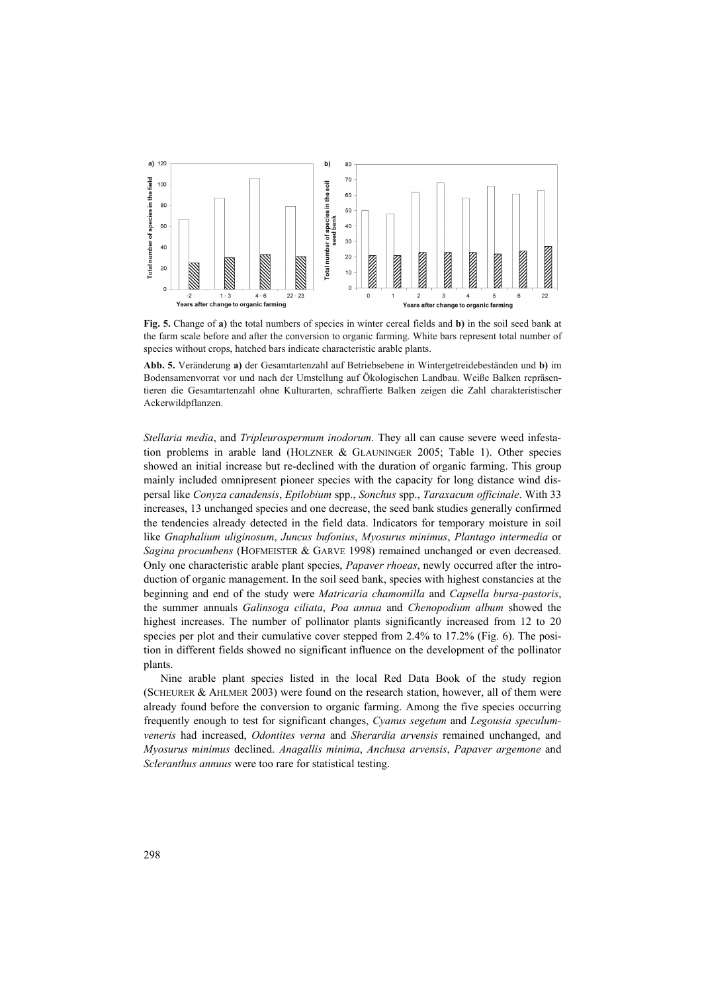

**Fig. 5.** Change of **a)** the total numbers of species in winter cereal fields and **b)** in the soil seed bank at the farm scale before and after the conversion to organic farming. White bars represent total number of species without crops, hatched bars indicate characteristic arable plants.

**Abb. 5.** Veränderung **a)** der Gesamtartenzahl auf Betriebsebene in Wintergetreidebeständen und **b)** im Bodensamenvorrat vor und nach der Umstellung auf Ökologischen Landbau. Weiße Balken repräsentieren die Gesamtartenzahl ohne Kulturarten, schraffierte Balken zeigen die Zahl charakteristischer Ackerwildpflanzen.

*Stellaria media*, and *Tripleurospermum inodorum*. They all can cause severe weed infestation problems in arable land (HOLZNER & GLAUNINGER 2005; Table 1). Other species showed an initial increase but re-declined with the duration of organic farming. This group mainly included omnipresent pioneer species with the capacity for long distance wind dispersal like *Conyza canadensis*, *Epilobium* spp., *Sonchus* spp., *Taraxacum officinale*. With 33 increases, 13 unchanged species and one decrease, the seed bank studies generally confirmed the tendencies already detected in the field data. Indicators for temporary moisture in soil like *Gnaphalium uliginosum*, *Juncus bufonius*, *Myosurus minimus*, *Plantago intermedia* or *Sagina procumbens* (HOFMEISTER & GARVE 1998) remained unchanged or even decreased. Only one characteristic arable plant species, *Papaver rhoeas*, newly occurred after the introduction of organic management. In the soil seed bank, species with highest constancies at the beginning and end of the study were *Matricaria chamomilla* and *Capsella bursa-pastoris*, the summer annuals *Galinsoga ciliata*, *Poa annua* and *Chenopodium album* showed the highest increases. The number of pollinator plants significantly increased from 12 to 20 species per plot and their cumulative cover stepped from 2.4% to 17.2% (Fig. 6). The position in different fields showed no significant influence on the development of the pollinator plants.

Nine arable plant species listed in the local Red Data Book of the study region (SCHEURER & AHLMER 2003) were found on the research station, however, all of them were already found before the conversion to organic farming. Among the five species occurring frequently enough to test for significant changes, *Cyanus segetum* and *Legousia speculumveneris* had increased, *Odontites verna* and *Sherardia arvensis* remained unchanged, and *Myosurus minimus* declined. *Anagallis minima*, *Anchusa arvensis*, *Papaver argemone* and *Scleranthus annuus* were too rare for statistical testing.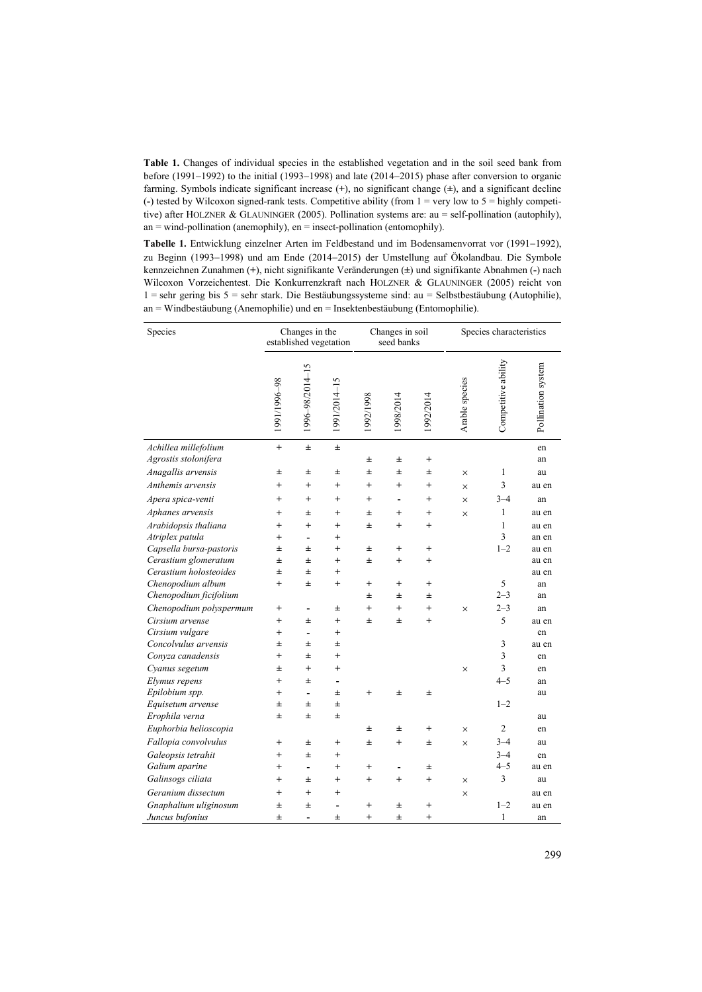**Table 1.** Changes of individual species in the established vegetation and in the soil seed bank from before (1991−1992) to the initial (1993−1998) and late (2014−2015) phase after conversion to organic farming. Symbols indicate significant increase (**+**), no significant change (**±**), and a significant decline  $(-)$  tested by Wilcoxon signed-rank tests. Competitive ability (from  $1 = \text{very low to } 5 = \text{highly competition}$ ) tive) after HOLZNER & GLAUNINGER (2005). Pollination systems are: au = self-pollination (autophily),  $an = wind-pollination (anemophily), en = insect-pollination (entomophily).$ 

**Tabelle 1.** Entwicklung einzelner Arten im Feldbestand und im Bodensamenvorrat vor (1991−1992), zu Beginn (1993−1998) und am Ende (2014−2015) der Umstellung auf Ökolandbau. Die Symbole kennzeichnen Zunahmen (**+**), nicht signifikante Veränderungen (**±**) und signifikante Abnahmen (**-**) nach Wilcoxon Vorzeichentest. Die Konkurrenzkraft nach HOLZNER & GLAUNINGER (2005) reicht von 1 = sehr gering bis 5 = sehr stark. Die Bestäubungssysteme sind: au = Selbstbestäubung (Autophilie), an = Windbestäubung (Anemophilie) und en = Insektenbestäubung (Entomophilie).

| Species                 | Changes in the<br>established vegetation |                |                | Changes in soil<br>seed banks |                          |                | Species characteristics |                     |                    |
|-------------------------|------------------------------------------|----------------|----------------|-------------------------------|--------------------------|----------------|-------------------------|---------------------|--------------------|
|                         | 1991/1996-98                             | 996-98/2014-15 | 1991/2014-15   | 992/1998                      | 1998/2014                | 992/2014       | Arable species          | Competitive ability | Pollination system |
| Achillea millefolium    | $^{+}$                                   | $\pm$          | $\pm$          |                               |                          |                |                         |                     | en                 |
| Agrostis stolonifera    |                                          |                |                | Ŧ                             | $\pm$                    | $^{+}$         |                         |                     | an                 |
| Anagallis arvensis      | Ŧ                                        | 士              | 士              | $\pm$                         | $\pm$                    | $\pm$          | $\times$                | 1                   | au                 |
| Anthemis arvensis       | $^{+}$                                   | $^{+}$         | $^{+}$         | $^{+}$                        | $^{+}$                   | $^{+}$         | $\times$                | 3                   | au en              |
| Apera spica-venti       | $^{+}$                                   | $\ddot{}$      | $^{+}$         | $^{+}$                        |                          | $^{+}$         | $\times$                | $3 - 4$             | an                 |
| Aphanes arvensis        | $^{+}$                                   | 士              | $^{+}$         | 士                             | $^{+}$                   | $^{+}$         | $\times$                | 1                   | au en              |
| Arabidopsis thaliana    | $\ddot{}$                                | $\ddot{}$      | $^{+}$         | $\pm$                         | $^{+}$                   | $^{+}$         |                         | $\mathbf{1}$        | au en              |
| Atriplex patula         | $^{+}$                                   | $\overline{a}$ | $^{+}$         |                               |                          |                |                         | 3                   | an en              |
| Capsella bursa-pastoris | 士                                        | 士              | $^{+}$         | Ŧ                             | $\ddot{}$                | $^{+}$         |                         | $1 - 2$             | au en              |
| Cerastium glomeratum    | Ŧ                                        | $\pm$          | $^{+}$         | Ŧ                             | $^{+}$                   | $^{+}$         |                         |                     | au en              |
| Cerastium holosteoides  | Ŧ                                        | $\pm$          | $^{+}$         |                               |                          |                |                         |                     | au en              |
| Chenopodium album       | $^{+}$                                   | 士              | $\overline{+}$ | $^{+}$                        | $^{+}$                   | $^{+}$         |                         | 5                   | an                 |
| Chenopodium ficifolium  |                                          |                |                | 士                             | Ŧ                        | Ŧ              |                         | $2 - 3$             | an                 |
| Chenopodium polyspermum | $^{+}$                                   | $\overline{a}$ | $\pm$          | $^{+}$                        | $^{+}$                   | $\ddot{}$      | $\times$                | $2 - 3$             | an                 |
| Cirsium arvense         | $\ddot{}$                                | Ŧ              | $^{+}$         | 士                             | 士                        | $^{+}$         |                         | 5                   | au en              |
| Cirsium vulgare         | $^{+}$                                   | L,             | $^{+}$         |                               |                          |                |                         |                     | en                 |
| Concolvulus arvensis    | 士                                        | 士              | 士              |                               |                          |                |                         | $\mathfrak{Z}$      | au en              |
| Conyza canadensis       | $^{+}$                                   | $\pm$          | $^{+}$         |                               |                          |                |                         | $\overline{3}$      | en                 |
| Cyanus segetum          | 士                                        | $^{+}$         | $^{+}$         |                               |                          |                | $\times$                | 3                   | en                 |
| Elymus repens           | $\ddot{}$                                | $\pm$          | L,             |                               |                          |                |                         | $4 - 5$             | an                 |
| Epilobium spp.          | $^{+}$                                   | L,             | $\pm$          | $^{+}$                        | $\pm$                    | $\pm$          |                         |                     | au                 |
| Equisetum arvense       | 士                                        | 士              | 士              |                               |                          |                |                         | $1 - 2$             |                    |
| Erophila verna          | Ŧ                                        | $\pm$          | $\pm$          |                               |                          |                |                         |                     | au                 |
| Euphorbia helioscopia   |                                          |                |                | $\pm$                         | $\pm$                    | $^{+}$         | $\times$                | $\overline{2}$      | en                 |
| Fallopia convolvulus    | $\,^+$                                   | 士              | $\overline{+}$ | Ŧ                             | $^{+}$                   | Ŧ              | $\times$                | $3 - 4$             | au                 |
| Galeopsis tetrahit      | $\ddot{}$                                | Ŧ              | $^{+}$         |                               |                          |                |                         | $3 - 4$             | en                 |
| Galium aparine          | $^{+}$                                   | ÷,             | $^{+}$         | $^{+}$                        | $\overline{\phantom{0}}$ | 士              |                         | $4 - 5$             | au en              |
| Galinsogs ciliata       | $\ddot{}$                                | 士              | $\overline{+}$ | $\ddot{}$                     | $^{+}$                   | $\overline{+}$ | $\times$                | 3                   | au                 |
| Geranium dissectum      | $^{+}$                                   | $^{+}$         | $^{+}$         |                               |                          |                | $\times$                |                     | au en              |
| Gnaphalium uliginosum   | Ŧ                                        | 士              |                | $\ddot{}$                     | 士                        | $\ddot{}$      |                         | $1 - 2$             | au en              |
| Juncus bufonius         | Ŧ                                        |                | $\pm$          | $\ddot{}$                     | $\pm$                    | $^{+}$         |                         | 1                   | an                 |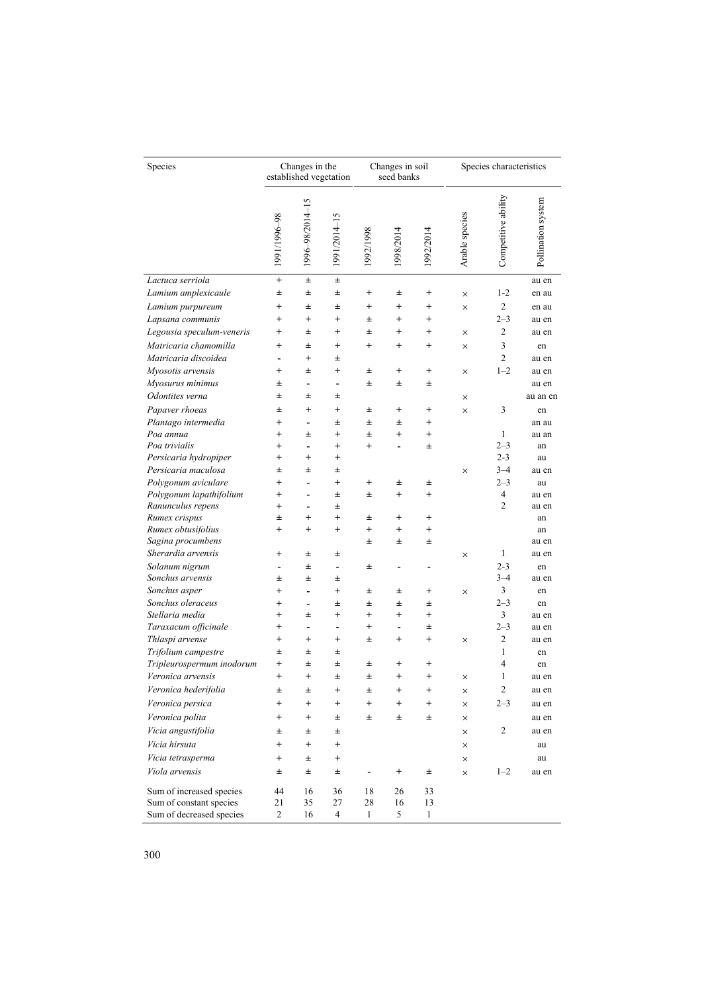| Species                   | Changes in the<br>established vegetation |                          |                          | Changes in soil<br>seed banks |                              |                | Species characteristics |                     |                    |
|---------------------------|------------------------------------------|--------------------------|--------------------------|-------------------------------|------------------------------|----------------|-------------------------|---------------------|--------------------|
|                           | 1991/1996-98                             | 1996-98/2014-15          | 1991/2014-15             | 866175661                     | 1998/2014                    | 1992/2014      | Arable species          | Competitive ability | Pollination system |
| Lactuca serriola          | $^{+}$                                   | 士                        | 士                        |                               |                              |                |                         |                     | au en              |
| Lamium amplexicaule       | 士                                        | 士                        | 士                        | $^{+}$                        | 士                            | $^{+}$         | ×                       | $1 - 2$             | en au              |
| Lamium purpureum          | $^{+}$                                   | 士                        | 士                        | $^{+}$                        | $^{+}$                       | $^{+}$         | ×                       | $\mathbf{2}$        | en au              |
| Lapsana communis          | $^{+}$                                   | $^{+}$                   | $^{+}$                   | 士                             | $^{+}$                       | $^{+}$         |                         | $2 - 3$             | au en              |
| Legousia speculum-veneris | $^{+}$                                   | $\pm$                    | $^{+}$                   | Ŧ                             | $^{+}$                       | $^{+}$         | ×                       | 2                   | au en              |
| Matricaria chamomilla     | $^{+}$                                   | 士                        | $^{+}$                   | $^{+}$                        | $^{+}$                       | $^{+}$         | $\times$                | 3                   | en                 |
| Matricaria discoidea      | $\qquad \qquad \blacksquare$             | $^{+}$                   | 士                        |                               |                              |                |                         | $\overline{c}$      | au en              |
| Myosotis arvensis         | $^{+}$                                   | 士                        | $^{+}$                   | 士                             | $^{+}$                       | $^{+}$         | ×                       | $1 - 2$             | au en              |
| Myosurus minimus          | 士                                        | ÷,                       | $\overline{\phantom{a}}$ | Ŧ                             | 士                            | 士              |                         |                     | au en              |
| Odontites verna           | 士                                        | 士                        | 士                        |                               |                              |                | ×                       |                     | au an en           |
| Papaver rhoeas            | 士                                        | $^{+}$                   | $^{+}$                   | 士                             | $^{+}$                       | $^{+}$         | $\times$                | 3                   | en                 |
| Plantago intermedia       | $^{+}$                                   | ÷,                       | 士                        | Ŧ                             | Ŧ                            | $^{+}$         |                         |                     | an au              |
| Poa annua                 | $^{+}$                                   | 士                        | $^{+}$                   | Ŧ                             | $^{+}$                       | $^{+}$         |                         | 1                   | au an              |
| Poa trivialis             | $^{+}$                                   | ÷,                       | $\ddot{}$                | $^{+}$                        |                              | Ŧ              |                         | $2 - 3$             | an                 |
| Persicaria hydropiper     | $^{+}$                                   | $\ddot{}$                | $^{+}$                   |                               |                              |                |                         | $2 - 3$             | au                 |
| Persicaria maculosa       | 士                                        | $\pm$                    | 士                        |                               |                              |                | ×                       | $3 - 4$             | au en              |
| Polygonum aviculare       | $^{+}$                                   | ÷,                       | $^{+}$                   | $^{+}$                        | Ŧ                            | 士              |                         | $2 - 3$             | au                 |
| Polygonum lapathifolium   | $^{+}$                                   | ÷,                       | $\pm$                    | Ŧ                             | $^{+}$                       | $^{+}$         |                         | 4                   | au en              |
| Ranunculus repens         | $\,^+$                                   | ÷,                       | 士                        |                               |                              |                |                         | $\overline{c}$      | au en              |
| Rumex crispus             | $\pm$                                    | $^{+}$                   | $^{+}$                   | 士                             | $^{+}$                       | $\overline{+}$ |                         |                     | an                 |
| Rumex obtusifolius        | $^{+}$                                   | $\ddot{}$                | $^{+}$                   | $^{+}$                        | $^{+}$                       | $^{+}$         |                         |                     | an                 |
| Sagina procumbens         |                                          |                          |                          | 士                             | 士                            | Ŧ              |                         |                     | au en              |
| Sherardia arvensis        | $^{+}$                                   | 士                        | 士                        |                               |                              |                | ×                       | 1                   | au en              |
| Solanum nigrum            | $\qquad \qquad \blacksquare$             | 士                        | $\overline{\phantom{a}}$ | 士                             |                              |                |                         | $2 - 3$             | en                 |
| Sonchus arvensis          | 士                                        | $\pm$                    | 士                        |                               |                              |                |                         | $3 - 4$             | au en              |
| Sonchus asper             | $\,^+$                                   | ÷,                       | $\overline{+}$           | Ŧ                             | Ŧ                            | $^{+}$         | ×                       | 3                   | en                 |
| Sonchus oleraceus         | $\,^+$                                   | ÷,                       | 士                        | 士                             | Ŧ                            | Ŧ              |                         | $2 - 3$             | en                 |
| Stellaria media           | $^{+}$                                   | 士                        | $^{+}$                   | $^{+}$                        | $^{+}$                       | $\ddot{}$      |                         | 3                   | au en              |
| Taraxacum officinale      | $^{+}$                                   | $\overline{\phantom{0}}$ | $\overline{\phantom{a}}$ | $^{+}$                        | $\qquad \qquad \blacksquare$ | Ŧ              |                         | $2 - 3$             | au en              |
| Thlaspi arvense           | $^{+}$                                   | $^{+}$                   | $^{+}$                   | 士                             | $^{+}$                       | $\overline{+}$ | ×                       | 2                   | au en              |
| Trifolium campestre       | 士                                        | 士                        | $\pm$                    |                               |                              |                |                         | $\mathbf{1}$        | en                 |
| Tripleurospermum inodorum | $^{+}$                                   | 士                        | 士                        | 士                             | $^{+}$                       | $\overline{+}$ |                         | $\overline{4}$      | en                 |
| Veronica arvensis         | $^{+}$                                   | $^{+}$                   | $\pm$                    | $\pm$                         | $^{+}$                       | $^{+}$         | ×                       | 1                   | au en              |
| Veronica hederifolia      | 土                                        | ±                        | $^{+}$                   | ±                             | $^+$                         | $^+$           | ×                       | $\overline{c}$      | au en              |
| Veronica persica          | $^{+}$                                   | $\ddot{}$                | $\overline{+}$           | $^{+}$                        | $\overline{+}$               | $\overline{+}$ | ×                       | $2 - 3$             | au en              |
| Veronica polita           | $^{+}$                                   | $\ddot{}$                | Ŧ                        | Ŧ                             | 士                            | Ŧ              | ×                       |                     | au en              |
| Vicia angustifolia        | 士                                        | 士                        | Ŧ                        |                               |                              |                | X                       | 2                   | au en              |
| Vicia hirsuta             | $^{+}$                                   | $+$                      | $^{+}$                   |                               |                              |                | ×                       |                     | au                 |
| Vicia tetrasperma         | $^{+}$                                   | $\pm$                    | $^{+}$                   |                               |                              |                | ×                       |                     | au                 |
| Viola arvensis            | 士                                        | $\pm$                    | Ŧ                        |                               | $^{+}$                       | ±              | ×                       | $1 - 2$             | au en              |
|                           |                                          |                          |                          |                               |                              |                |                         |                     |                    |
| Sum of increased species  | 44                                       | 16                       | 36                       | 18                            | 26                           | 33             |                         |                     |                    |
| Sum of constant species   | 21                                       | 35                       | 27                       | 28                            | 16                           | 13             |                         |                     |                    |
| Sum of decreased species  | $\boldsymbol{2}$                         | 16                       | 4                        | 1                             | 5                            | $\mathbf{1}$   |                         |                     |                    |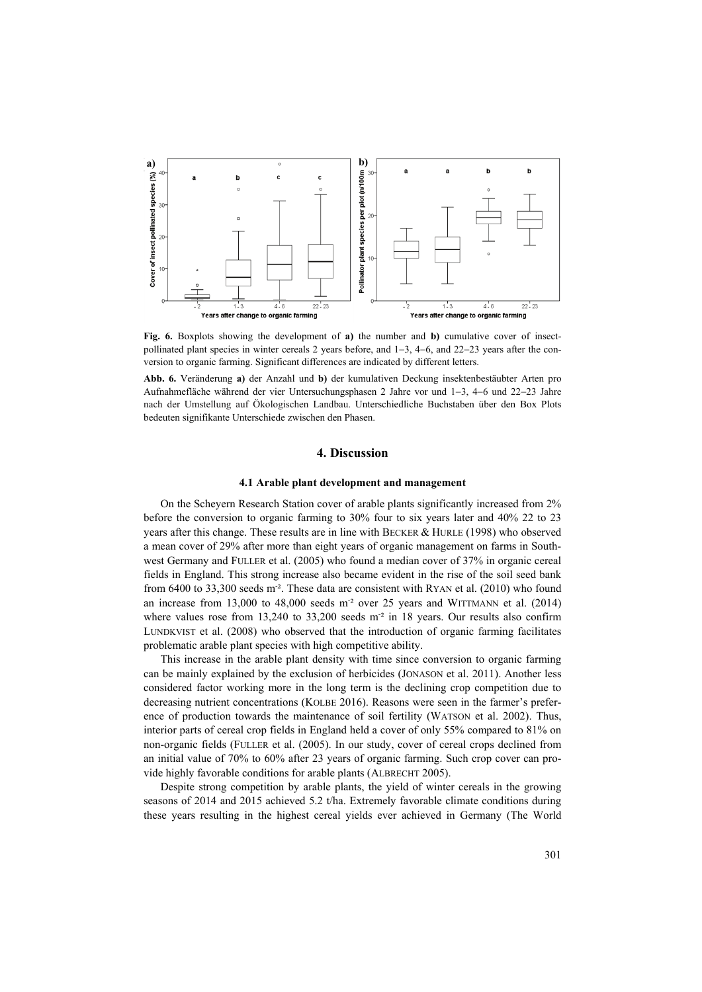

**Fig. 6.** Boxplots showing the development of **a)** the number and **b)** cumulative cover of insectpollinated plant species in winter cereals 2 years before, and 1−3, 4−6, and 22−23 years after the conversion to organic farming. Significant differences are indicated by different letters.

**Abb. 6.** Veränderung **a)** der Anzahl und **b)** der kumulativen Deckung insektenbestäubter Arten pro Aufnahmefläche während der vier Untersuchungsphasen 2 Jahre vor und 1−3, 4−6 und 22−23 Jahre nach der Umstellung auf Ökologischen Landbau. Unterschiedliche Buchstaben über den Box Plots bedeuten signifikante Unterschiede zwischen den Phasen.

## **4. Discussion**

## **4.1 Arable plant development and management**

On the Scheyern Research Station cover of arable plants significantly increased from 2% before the conversion to organic farming to 30% four to six years later and 40% 22 to 23 years after this change. These results are in line with BECKER & HURLE (1998) who observed a mean cover of 29% after more than eight years of organic management on farms in Southwest Germany and FULLER et al. (2005) who found a median cover of 37% in organic cereal fields in England. This strong increase also became evident in the rise of the soil seed bank from 6400 to 33,300 seeds m<sup>-2</sup>. These data are consistent with RYAN et al. (2010) who found an increase from 13,000 to 48,000 seeds m<sup>-2</sup> over 25 years and WITTMANN et al. (2014) where values rose from  $13,240$  to  $33,200$  seeds m<sup>-2</sup> in 18 years. Our results also confirm LUNDKVIST et al. (2008) who observed that the introduction of organic farming facilitates problematic arable plant species with high competitive ability.

This increase in the arable plant density with time since conversion to organic farming can be mainly explained by the exclusion of herbicides (JONASON et al. 2011). Another less considered factor working more in the long term is the declining crop competition due to decreasing nutrient concentrations (KOLBE 2016). Reasons were seen in the farmer's preference of production towards the maintenance of soil fertility (WATSON et al. 2002). Thus, interior parts of cereal crop fields in England held a cover of only 55% compared to 81% on non-organic fields (FULLER et al. (2005). In our study, cover of cereal crops declined from an initial value of 70% to 60% after 23 years of organic farming. Such crop cover can provide highly favorable conditions for arable plants (ALBRECHT 2005).

Despite strong competition by arable plants, the yield of winter cereals in the growing seasons of 2014 and 2015 achieved 5.2 t/ha. Extremely favorable climate conditions during these years resulting in the highest cereal yields ever achieved in Germany (The World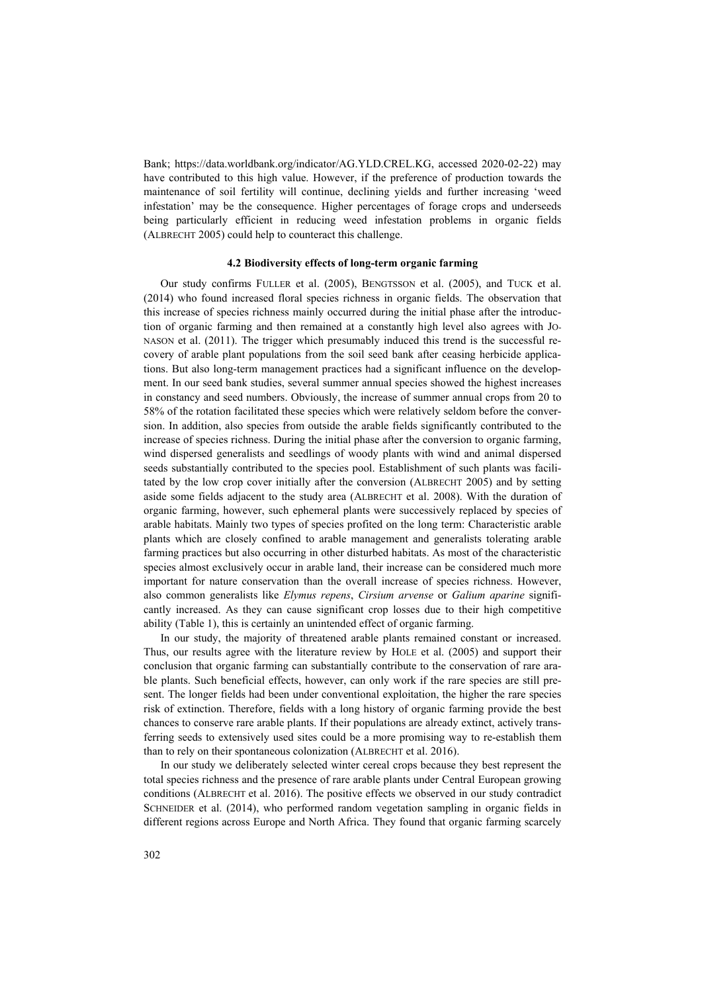Bank; [https://data.worldbank.org/indicator/AG.YLD.CREL.KG,](https://data.worldbank.org/indicator/AG.YLD.CREL.KG) accessed 2020-02-22) may have contributed to this high value. However, if the preference of production towards the maintenance of soil fertility will continue, declining yields and further increasing 'weed infestation' may be the consequence. Higher percentages of forage crops and underseeds being particularly efficient in reducing weed infestation problems in organic fields (ALBRECHT 2005) could help to counteract this challenge.

#### **4.2 Biodiversity effects of long-term organic farming**

Our study confirms FULLER et al. (2005), BENGTSSON et al. (2005), and TUCK et al. (2014) who found increased floral species richness in organic fields. The observation that this increase of species richness mainly occurred during the initial phase after the introduction of organic farming and then remained at a constantly high level also agrees with JO-NASON et al. (2011). The trigger which presumably induced this trend is the successful recovery of arable plant populations from the soil seed bank after ceasing herbicide applications. But also long-term management practices had a significant influence on the development. In our seed bank studies, several summer annual species showed the highest increases in constancy and seed numbers. Obviously, the increase of summer annual crops from 20 to 58% of the rotation facilitated these species which were relatively seldom before the conversion. In addition, also species from outside the arable fields significantly contributed to the increase of species richness. During the initial phase after the conversion to organic farming, wind dispersed generalists and seedlings of woody plants with wind and animal dispersed seeds substantially contributed to the species pool. Establishment of such plants was facilitated by the low crop cover initially after the conversion (ALBRECHT 2005) and by setting aside some fields adjacent to the study area (ALBRECHT et al. 2008). With the duration of organic farming, however, such ephemeral plants were successively replaced by species of arable habitats. Mainly two types of species profited on the long term: Characteristic arable plants which are closely confined to arable management and generalists tolerating arable farming practices but also occurring in other disturbed habitats. As most of the characteristic species almost exclusively occur in arable land, their increase can be considered much more important for nature conservation than the overall increase of species richness. However, also common generalists like *Elymus repens*, *Cirsium arvense* or *Galium aparine* significantly increased. As they can cause significant crop losses due to their high competitive ability (Table 1), this is certainly an unintended effect of organic farming.

In our study, the majority of threatened arable plants remained constant or increased. Thus, our results agree with the literature review by HOLE et al. (2005) and support their conclusion that organic farming can substantially contribute to the conservation of rare arable plants. Such beneficial effects, however, can only work if the rare species are still present. The longer fields had been under conventional exploitation, the higher the rare species risk of extinction. Therefore, fields with a long history of organic farming provide the best chances to conserve rare arable plants. If their populations are already extinct, actively transferring seeds to extensively used sites could be a more promising way to re-establish them than to rely on their spontaneous colonization (ALBRECHT et al. 2016).

In our study we deliberately selected winter cereal crops because they best represent the total species richness and the presence of rare arable plants under Central European growing conditions (ALBRECHT et al. 2016). The positive effects we observed in our study contradict SCHNEIDER et al. (2014), who performed random vegetation sampling in organic fields in different regions across Europe and North Africa. They found that organic farming scarcely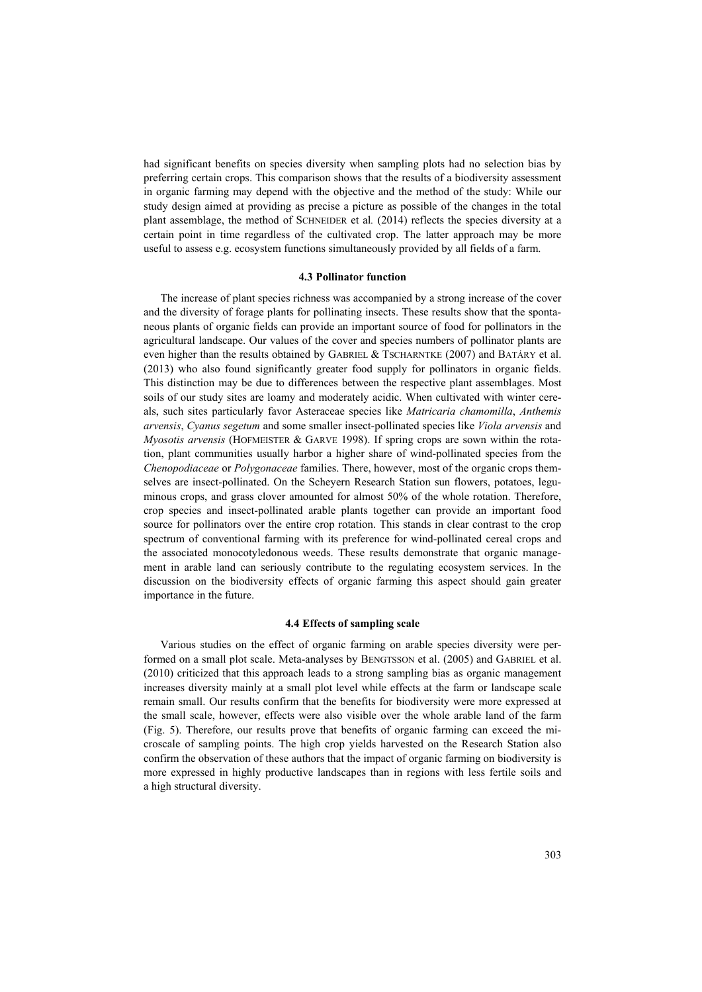had significant benefits on species diversity when sampling plots had no selection bias by preferring certain crops. This comparison shows that the results of a biodiversity assessment in organic farming may depend with the objective and the method of the study: While our study design aimed at providing as precise a picture as possible of the changes in the total plant assemblage, the method of SCHNEIDER et al*.* (2014) reflects the species diversity at a certain point in time regardless of the cultivated crop. The latter approach may be more useful to assess e.g. ecosystem functions simultaneously provided by all fields of a farm.

#### **4.3 Pollinator function**

The increase of plant species richness was accompanied by a strong increase of the cover and the diversity of forage plants for pollinating insects. These results show that the spontaneous plants of organic fields can provide an important source of food for pollinators in the agricultural landscape. Our values of the cover and species numbers of pollinator plants are even higher than the results obtained by GABRIEL & TSCHARNTKE (2007) and BATÁRY et al. (2013) who also found significantly greater food supply for pollinators in organic fields. This distinction may be due to differences between the respective plant assemblages. Most soils of our study sites are loamy and moderately acidic. When cultivated with winter cereals, such sites particularly favor Asteraceae species like *Matricaria chamomilla*, *Anthemis arvensis*, *Cyanus segetum* and some smaller insect-pollinated species like *Viola arvensis* and *Myosotis arvensis* (HOFMEISTER & GARVE 1998). If spring crops are sown within the rotation, plant communities usually harbor a higher share of wind-pollinated species from the *Chenopodiaceae* or *Polygonaceae* families. There, however, most of the organic crops themselves are insect-pollinated. On the Scheyern Research Station sun flowers, potatoes, leguminous crops, and grass clover amounted for almost 50% of the whole rotation. Therefore, crop species and insect-pollinated arable plants together can provide an important food source for pollinators over the entire crop rotation. This stands in clear contrast to the crop spectrum of conventional farming with its preference for wind-pollinated cereal crops and the associated monocotyledonous weeds. These results demonstrate that organic management in arable land can seriously contribute to the regulating ecosystem services. In the discussion on the biodiversity effects of organic farming this aspect should gain greater importance in the future.

## **4.4 Effects of sampling scale**

Various studies on the effect of organic farming on arable species diversity were performed on a small plot scale. Meta-analyses by BENGTSSON et al. (2005) and GABRIEL et al. (2010) criticized that this approach leads to a strong sampling bias as organic management increases diversity mainly at a small plot level while effects at the farm or landscape scale remain small. Our results confirm that the benefits for biodiversity were more expressed at the small scale, however, effects were also visible over the whole arable land of the farm (Fig. 5). Therefore, our results prove that benefits of organic farming can exceed the microscale of sampling points. The high crop yields harvested on the Research Station also confirm the observation of these authors that the impact of organic farming on biodiversity is more expressed in highly productive landscapes than in regions with less fertile soils and a high structural diversity.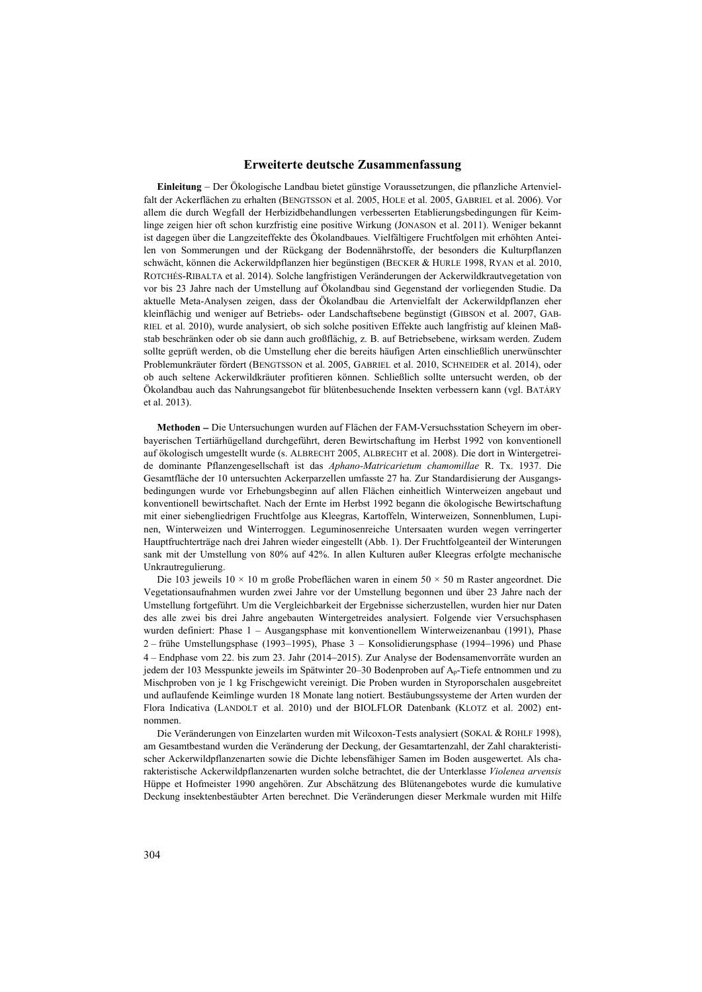## **Erweiterte deutsche Zusammenfassung**

**Einleitung** − Der Ökologische Landbau bietet günstige Voraussetzungen, die pflanzliche Artenvielfalt der Ackerflächen zu erhalten (BENGTSSON et al. 2005, HOLE et al. 2005, GABRIEL et al. 2006). Vor allem die durch Wegfall der Herbizidbehandlungen verbesserten Etablierungsbedingungen für Keimlinge zeigen hier oft schon kurzfristig eine positive Wirkung (JONASON et al. 2011). Weniger bekannt ist dagegen über die Langzeiteffekte des Ökolandbaues. Vielfältigere Fruchtfolgen mit erhöhten Anteilen von Sommerungen und der Rückgang der Bodennährstoffe, der besonders die Kulturpflanzen schwächt, können die Ackerwildpflanzen hier begünstigen (BECKER & HURLE 1998, RYAN et al. 2010, ROTCHÉS-RIBALTA et al. 2014). Solche langfristigen Veränderungen der Ackerwildkrautvegetation von vor bis 23 Jahre nach der Umstellung auf Ökolandbau sind Gegenstand der vorliegenden Studie. Da aktuelle Meta-Analysen zeigen, dass der Ökolandbau die Artenvielfalt der Ackerwildpflanzen eher kleinflächig und weniger auf Betriebs- oder Landschaftsebene begünstigt (GIBSON et al. 2007, GAB-RIEL et al. 2010), wurde analysiert, ob sich solche positiven Effekte auch langfristig auf kleinen Maßstab beschränken oder ob sie dann auch großflächig, z. B. auf Betriebsebene, wirksam werden. Zudem sollte geprüft werden, ob die Umstellung eher die bereits häufigen Arten einschließlich unerwünschter Problemunkräuter fördert (BENGTSSON et al. 2005, GABRIEL et al. 2010, SCHNEIDER et al. 2014), oder ob auch seltene Ackerwildkräuter profitieren können. Schließlich sollte untersucht werden, ob der Ökolandbau auch das Nahrungsangebot für blütenbesuchende Insekten verbessern kann (vgl. BATÁRY et al. 2013).

**Methoden** − Die Untersuchungen wurden auf Flächen der FAM-Versuchsstation Scheyern im oberbayerischen Tertiärhügelland durchgeführt, deren Bewirtschaftung im Herbst 1992 von konventionell auf ökologisch umgestellt wurde (s. ALBRECHT 2005, ALBRECHT et al. 2008). Die dort in Wintergetreide dominante Pflanzengesellschaft ist das *Aphano-Matricarietum chamomillae* R. Tx. 1937. Die Gesamtfläche der 10 untersuchten Ackerparzellen umfasste 27 ha. Zur Standardisierung der Ausgangsbedingungen wurde vor Erhebungsbeginn auf allen Flächen einheitlich Winterweizen angebaut und konventionell bewirtschaftet. Nach der Ernte im Herbst 1992 begann die ökologische Bewirtschaftung mit einer siebengliedrigen Fruchtfolge aus Kleegras, Kartoffeln, Winterweizen, Sonnenblumen, Lupinen, Winterweizen und Winterroggen. Leguminosenreiche Untersaaten wurden wegen verringerter Hauptfruchterträge nach drei Jahren wieder eingestellt (Abb. 1). Der Fruchtfolgeanteil der Winterungen sank mit der Umstellung von 80% auf 42%. In allen Kulturen außer Kleegras erfolgte mechanische Unkrautregulierung.

Die 103 jeweils  $10 \times 10$  m große Probeflächen waren in einem  $50 \times 50$  m Raster angeordnet. Die Vegetationsaufnahmen wurden zwei Jahre vor der Umstellung begonnen und über 23 Jahre nach der Umstellung fortgeführt. Um die Vergleichbarkeit der Ergebnisse sicherzustellen, wurden hier nur Daten des alle zwei bis drei Jahre angebauten Wintergetreides analysiert. Folgende vier Versuchsphasen wurden definiert: Phase 1 – Ausgangsphase mit konventionellem Winterweizenanbau (1991), Phase 2 – frühe Umstellungsphase (1993−1995), Phase 3 – Konsolidierungsphase (1994−1996) und Phase 4 – Endphase vom 22. bis zum 23. Jahr (2014−2015). Zur Analyse der Bodensamenvorräte wurden an jedem der 103 Messpunkte jeweils im Spätwinter 20–30 Bodenproben auf Ap-Tiefe entnommen und zu Mischproben von je 1 kg Frischgewicht vereinigt. Die Proben wurden in Styroporschalen ausgebreitet und auflaufende Keimlinge wurden 18 Monate lang notiert. Bestäubungssysteme der Arten wurden der Flora Indicativa (LANDOLT et al. 2010) und der BIOLFLOR Datenbank (KLOTZ et al. 2002) entnommen.

Die Veränderungen von Einzelarten wurden mit Wilcoxon-Tests analysiert (SOKAL & ROHLF 1998), am Gesamtbestand wurden die Veränderung der Deckung, der Gesamtartenzahl, der Zahl charakteristischer Ackerwildpflanzenarten sowie die Dichte lebensfähiger Samen im Boden ausgewertet. Als charakteristische Ackerwildpflanzenarten wurden solche betrachtet, die der Unterklasse *Violenea arvensis* Hüppe et Hofmeister 1990 angehören. Zur Abschätzung des Blütenangebotes wurde die kumulative Deckung insektenbestäubter Arten berechnet. Die Veränderungen dieser Merkmale wurden mit Hilfe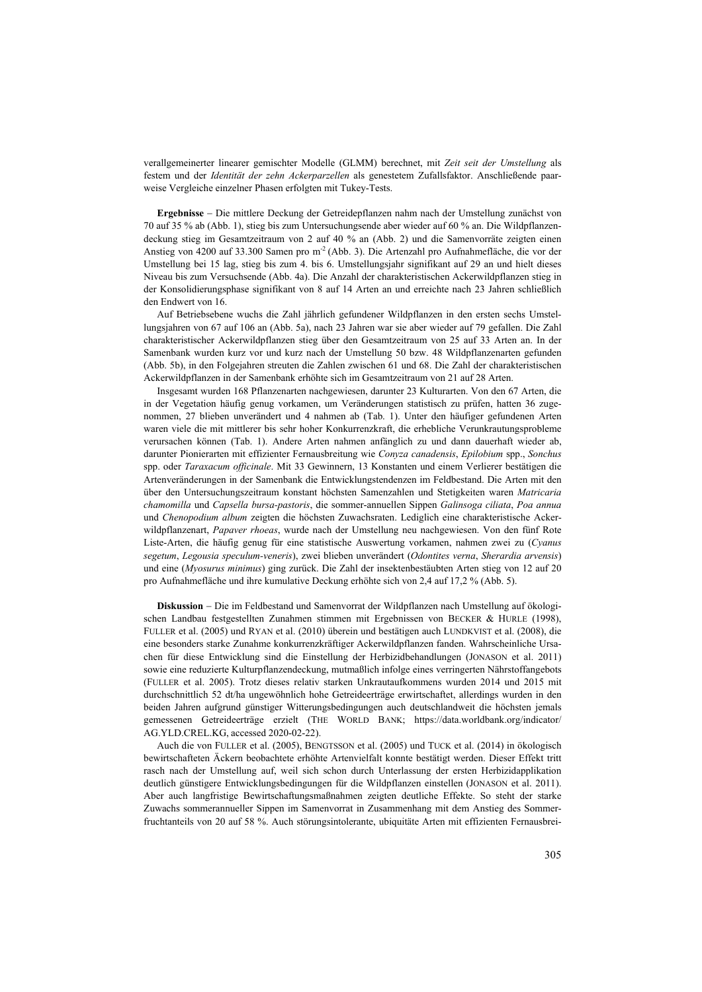verallgemeinerter linearer gemischter Modelle (GLMM) berechnet, mit *Zeit seit der Umstellung* als festem und der *Identität der zehn Ackerparzellen* als genestetem Zufallsfaktor. Anschließende paarweise Vergleiche einzelner Phasen erfolgten mit Tukey-Tests.

**Ergebnisse** − Die mittlere Deckung der Getreidepflanzen nahm nach der Umstellung zunächst von 70 auf 35 % ab (Abb. 1), stieg bis zum Untersuchungsende aber wieder auf 60 % an. Die Wildpflanzendeckung stieg im Gesamtzeitraum von 2 auf 40 % an (Abb. 2) und die Samenvorräte zeigten einen Anstieg von 4200 auf 33.300 Samen pro m<sup>-2</sup> (Abb. 3). Die Artenzahl pro Aufnahmefläche, die vor der Umstellung bei 15 lag, stieg bis zum 4. bis 6. Umstellungsjahr signifikant auf 29 an und hielt dieses Niveau bis zum Versuchsende (Abb. 4a). Die Anzahl der charakteristischen Ackerwildpflanzen stieg in der Konsolidierungsphase signifikant von 8 auf 14 Arten an und erreichte nach 23 Jahren schließlich den Endwert von 16.

Auf Betriebsebene wuchs die Zahl jährlich gefundener Wildpflanzen in den ersten sechs Umstellungsjahren von 67 auf 106 an (Abb. 5a), nach 23 Jahren war sie aber wieder auf 79 gefallen. Die Zahl charakteristischer Ackerwildpflanzen stieg über den Gesamtzeitraum von 25 auf 33 Arten an. In der Samenbank wurden kurz vor und kurz nach der Umstellung 50 bzw. 48 Wildpflanzenarten gefunden (Abb. 5b), in den Folgejahren streuten die Zahlen zwischen 61 und 68. Die Zahl der charakteristischen Ackerwildpflanzen in der Samenbank erhöhte sich im Gesamtzeitraum von 21 auf 28 Arten.

Insgesamt wurden 168 Pflanzenarten nachgewiesen, darunter 23 Kulturarten. Von den 67 Arten, die in der Vegetation häufig genug vorkamen, um Veränderungen statistisch zu prüfen, hatten 36 zugenommen, 27 blieben unverändert und 4 nahmen ab (Tab. 1). Unter den häufiger gefundenen Arten waren viele die mit mittlerer bis sehr hoher Konkurrenzkraft, die erhebliche Verunkrautungsprobleme verursachen können (Tab. 1). Andere Arten nahmen anfänglich zu und dann dauerhaft wieder ab, darunter Pionierarten mit effizienter Fernausbreitung wie *Conyza canadensis*, *Epilobium* spp., *Sonchus* spp. oder *Taraxacum officinale*. Mit 33 Gewinnern, 13 Konstanten und einem Verlierer bestätigen die Artenveränderungen in der Samenbank die Entwicklungstendenzen im Feldbestand. Die Arten mit den über den Untersuchungszeitraum konstant höchsten Samenzahlen und Stetigkeiten waren *Matricaria chamomilla* und *Capsella bursa-pastoris*, die sommer-annuellen Sippen *Galinsoga ciliata*, *Poa annua* und *Chenopodium album* zeigten die höchsten Zuwachsraten. Lediglich eine charakteristische Ackerwildpflanzenart, *Papaver rhoeas*, wurde nach der Umstellung neu nachgewiesen. Von den fünf Rote Liste-Arten, die häufig genug für eine statistische Auswertung vorkamen, nahmen zwei zu (*Cyanus segetum*, *Legousia speculum-veneris*), zwei blieben unverändert (*Odontites verna*, *Sherardia arvensis*) und eine (*Myosurus minimus*) ging zurück. Die Zahl der insektenbestäubten Arten stieg von 12 auf 20 pro Aufnahmefläche und ihre kumulative Deckung erhöhte sich von 2,4 auf 17,2 % (Abb. 5).

**Diskussion** − Die im Feldbestand und Samenvorrat der Wildpflanzen nach Umstellung auf ökologischen Landbau festgestellten Zunahmen stimmen mit Ergebnissen von BECKER & HURLE (1998), FULLER et al. (2005) und RYAN et al. (2010) überein und bestätigen auch LUNDKVIST et al. (2008), die eine besonders starke Zunahme konkurrenzkräftiger Ackerwildpflanzen fanden. Wahrscheinliche Ursachen für diese Entwicklung sind die Einstellung der Herbizidbehandlungen (JONASON et al. 2011) sowie eine reduzierte Kulturpflanzendeckung, mutmaßlich infolge eines verringerten Nährstoffangebots (FULLER et al. 2005). Trotz dieses relativ starken Unkrautaufkommens wurden 2014 und 2015 mit durchschnittlich 52 dt/ha ungewöhnlich hohe Getreideerträge erwirtschaftet, allerdings wurden in den beiden Jahren aufgrund günstiger Witterungsbedingungen auch deutschlandweit die höchsten jemals gemessenen Getreideerträge erzielt (THE WORLD BANK; [https://data.worldbank.org/indicator/](https://data.worldbank.org/indicator/AG.YLD.CREL.KG) [AG.YLD.CREL.KG,](https://data.worldbank.org/indicator/AG.YLD.CREL.KG) accessed 2020-02-22).

Auch die von FULLER et al. (2005), BENGTSSON et al. (2005) und TUCK et al. (2014) in ökologisch bewirtschafteten Äckern beobachtete erhöhte Artenvielfalt konnte bestätigt werden. Dieser Effekt tritt rasch nach der Umstellung auf, weil sich schon durch Unterlassung der ersten Herbizidapplikation deutlich günstigere Entwicklungsbedingungen für die Wildpflanzen einstellen (JONASON et al. 2011). Aber auch langfristige Bewirtschaftungsmaßnahmen zeigten deutliche Effekte. So steht der starke Zuwachs sommerannueller Sippen im Samenvorrat in Zusammenhang mit dem Anstieg des Sommerfruchtanteils von 20 auf 58 %. Auch störungsintolerante, ubiquitäte Arten mit effizienten Fernausbrei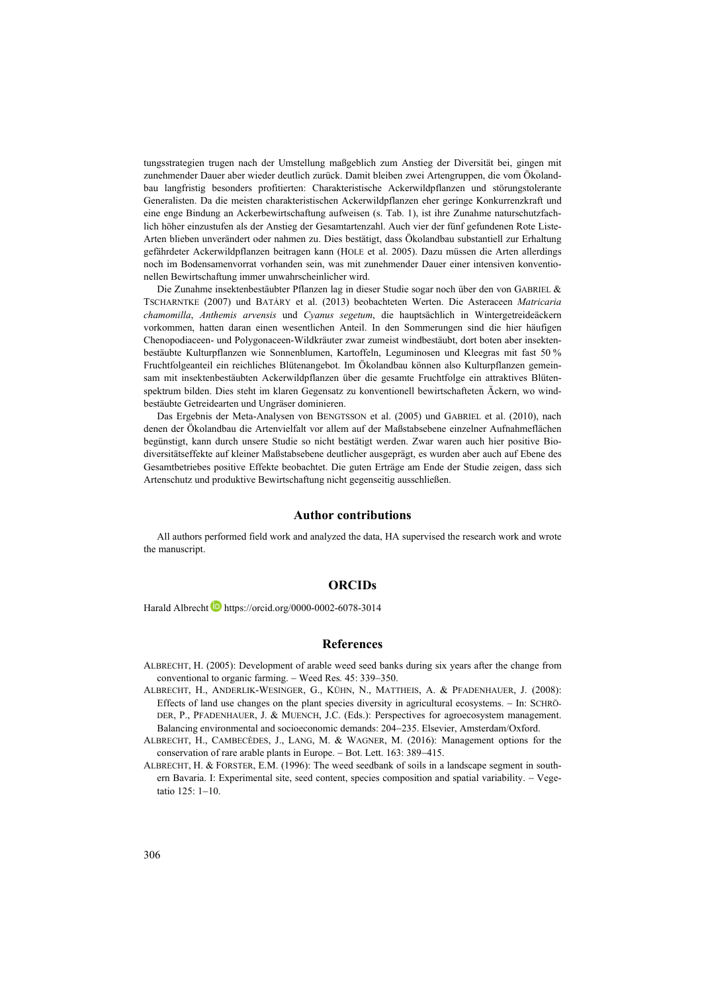tungsstrategien trugen nach der Umstellung maßgeblich zum Anstieg der Diversität bei, gingen mit zunehmender Dauer aber wieder deutlich zurück. Damit bleiben zwei Artengruppen, die vom Ökolandbau langfristig besonders profitierten: Charakteristische Ackerwildpflanzen und störungstolerante Generalisten. Da die meisten charakteristischen Ackerwildpflanzen eher geringe Konkurrenzkraft und eine enge Bindung an Ackerbewirtschaftung aufweisen (s. Tab. 1), ist ihre Zunahme naturschutzfachlich höher einzustufen als der Anstieg der Gesamtartenzahl. Auch vier der fünf gefundenen Rote Liste-Arten blieben unverändert oder nahmen zu. Dies bestätigt, dass Ökolandbau substantiell zur Erhaltung gefährdeter Ackerwildpflanzen beitragen kann (HOLE et al. 2005). Dazu müssen die Arten allerdings noch im Bodensamenvorrat vorhanden sein, was mit zunehmender Dauer einer intensiven konventionellen Bewirtschaftung immer unwahrscheinlicher wird.

Die Zunahme insektenbestäubter Pflanzen lag in dieser Studie sogar noch über den von GABRIEL & TSCHARNTKE (2007) und BATÁRY et al. (2013) beobachteten Werten. Die Asteraceen *Matricaria chamomilla*, *Anthemis arvensis* und *Cyanus segetum*, die hauptsächlich in Wintergetreideäckern vorkommen, hatten daran einen wesentlichen Anteil. In den Sommerungen sind die hier häufigen Chenopodiaceen- und Polygonaceen-Wildkräuter zwar zumeist windbestäubt, dort boten aber insektenbestäubte Kulturpflanzen wie Sonnenblumen, Kartoffeln, Leguminosen und Kleegras mit fast 50 % Fruchtfolgeanteil ein reichliches Blütenangebot. Im Ökolandbau können also Kulturpflanzen gemeinsam mit insektenbestäubten Ackerwildpflanzen über die gesamte Fruchtfolge ein attraktives Blütenspektrum bilden. Dies steht im klaren Gegensatz zu konventionell bewirtschafteten Äckern, wo windbestäubte Getreidearten und Ungräser dominieren.

Das Ergebnis der Meta-Analysen von BENGTSSON et al. (2005) und GABRIEL et al. (2010), nach denen der Ökolandbau die Artenvielfalt vor allem auf der Maßstabsebene einzelner Aufnahmeflächen begünstigt, kann durch unsere Studie so nicht bestätigt werden. Zwar waren auch hier positive Biodiversitätseffekte auf kleiner Maßstabsebene deutlicher ausgeprägt, es wurden aber auch auf Ebene des Gesamtbetriebes positive Effekte beobachtet. Die guten Erträge am Ende der Studie zeigen, dass sich Artenschutz und produktive Bewirtschaftung nicht gegenseitig ausschließen.

## **Author contributions**

All authors performed field work and analyzed the data, HA supervised the research work and wrote the manuscript.

## **ORCIDs**

Harald Albrecht https://orcid.org/0000-0002-6078-3014

#### **References**

- ALBRECHT, H. (2005): Development of arable weed seed banks during six years after the change from conventional to organic farming. − Weed Res*.* 45: 339−350.
- ALBRECHT, H., ANDERLIK-WESINGER, G., KÜHN, N., MATTHEIS, A. & PFADENHAUER, J. (2008): Effects of land use changes on the plant species diversity in agricultural ecosystems. − In: SCHRÖ-DER, P., PFADENHAUER, J. & MUENCH, J.C. (Eds.): Perspectives for agroecosystem management. Balancing environmental and socioeconomic demands: 204−235. Elsevier, Amsterdam/Oxford.
- ALBRECHT, H., CAMBECÈDES, J., LANG, M. & WAGNER, M. (2016): Management options for the conservation of rare arable plants in Europe. − Bot. Lett. 163: 389−415.
- ALBRECHT, H. & FORSTER, E.M. (1996): The weed seedbank of soils in a landscape segment in southern Bavaria. I: Experimental site, seed content, species composition and spatial variability. − Vegetatio 125: 1−10.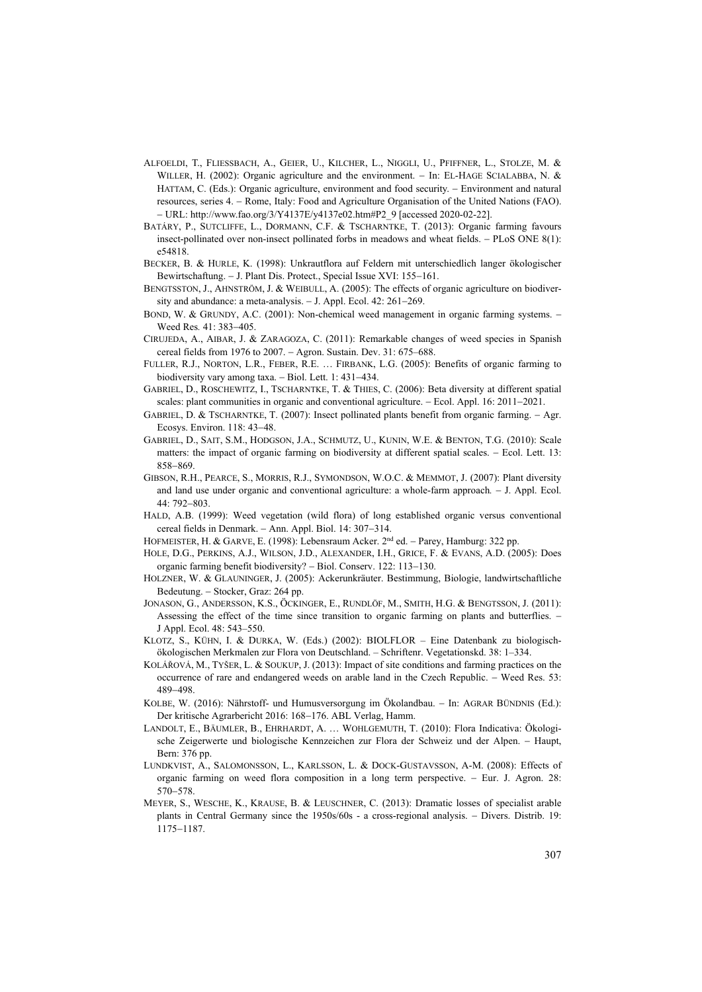- ALFOELDI, T., FLIESSBACH, A., GEIER, U., KILCHER, L., NIGGLI, U., PFIFFNER, L., STOLZE, M. & WILLER, H. (2002): Organic agriculture and the environment. − In: EL-HAGE SCIALABBA, N. & HATTAM, C. (Eds.): Organic agriculture, environment and food security. − Environment and natural resources, series 4. − Rome, Italy: Food and Agriculture Organisation of the United Nations (FAO). − URL: http://www.fao.org/3/Y4137E/y4137e02.htm#P2\_9 [accessed 2020-02-22].
- BATÁRY, P., SUTCLIFFE, L., DORMANN, C.F. & TSCHARNTKE, T. (2013): Organic farming favours insect-pollinated over non-insect pollinated forbs in meadows and wheat fields. − PLoS ONE 8(1): e54818.
- BECKER, B. & HURLE, K. (1998): Unkrautflora auf Feldern mit unterschiedlich langer ökologischer Bewirtschaftung. − J. Plant Dis. Protect., Special Issue XVI: 155−161.
- BENGTSSTON, J., AHNSTRÖM, J. & WEIBULL, A. (2005): The effects of organic agriculture on biodiversity and abundance: a meta-analysis. − J. Appl. Ecol. 42: 261−269.
- BOND, W. & GRUNDY, A.C. (2001): Non-chemical weed management in organic farming systems. − Weed Res*.* 41: 383−405.
- CIRUJEDA, A., AIBAR, J. & ZARAGOZA, C. (2011): Remarkable changes of weed species in Spanish cereal fields from 1976 to 2007. − Agron. Sustain. Dev. 31: 675–688.
- FULLER, R.J., NORTON, L.R., FEBER, R.E. … FIRBANK, L.G. (2005): Benefits of organic farming to biodiversity vary among taxa. − Biol. Lett. 1: 431−434.
- GABRIEL, D., ROSCHEWITZ, I., TSCHARNTKE, T. & THIES, C. (2006): Beta diversity at different spatial scales: plant communities in organic and conventional agriculture. – Ecol. Appl. 16: 2011–2021.
- GABRIEL, D. & TSCHARNTKE, T. (2007): Insect pollinated plants benefit from organic farming. Agr. Ecosys. Environ. 118: 43−48.
- GABRIEL, D., SAIT, S.M., HODGSON, J.A., SCHMUTZ, U., KUNIN, W.E. & BENTON, T.G. (2010): Scale matters: the impact of organic farming on biodiversity at different spatial scales. − Ecol. Lett. 13: 858−869.
- GIBSON, R.H., PEARCE, S., MORRIS, R.J., SYMONDSON, W.O.C. & MEMMOT, J. (2007): Plant diversity and land use under organic and conventional agriculture: a whole-farm approach*.* − J. Appl. Ecol. 44: 792−803.
- HALD, A.B. (1999): Weed vegetation (wild flora) of long established organic versus conventional cereal fields in Denmark. − Ann. Appl. Biol. 14: 307−314.
- HOFMEISTER, H. & GARVE, E. (1998): Lebensraum Acker. 2<sup>nd</sup> ed. Parey, Hamburg: 322 pp.
- HOLE, D.G., PERKINS, A.J., WILSON, J.D., ALEXANDER, I.H., GRICE, F. & EVANS, A.D. (2005): Does organic farming benefit biodiversity? − Biol. Conserv. 122: 113−130.
- HOLZNER, W. & GLAUNINGER, J. (2005): Ackerunkräuter. Bestimmung, Biologie, landwirtschaftliche Bedeutung. − Stocker, Graz: 264 pp.
- JONASON, G., ANDERSSON, K.S., ÖCKINGER, E., RUNDLÖF, M., SMITH, H.G. & BENGTSSON, J. (2011): Assessing the effect of the time since transition to organic farming on plants and butterflies. – J Appl. Ecol. 48: 543–550.
- KLOTZ, S., KÜHN, I. & DURKA, W. (Eds.) (2002): BIOLFLOR Eine Datenbank zu biologischökologischen Merkmalen zur Flora von Deutschland. – Schriftenr. Vegetationskd. 38: 1–334.
- KOLÁŘOVÁ, M., TYŠER, L. & SOUKUP, J. (2013): Impact of site conditions and farming practices on the occurrence of rare and endangered weeds on arable land in the Czech Republic. − Weed Res. 53: 489−498.
- KOLBE, W. (2016): Nährstoff- und Humusversorgung im Ökolandbau. − In: AGRAR BÜNDNIS (Ed.): Der kritische Agrarbericht 2016: 168−176. ABL Verlag, Hamm.
- [LANDOLT,](http://www.zora.uzh.ch/view/authors_for_linking_in_citation/Landolt=3AE=3A=3A.html) E., [BÄUMLER,](http://www.zora.uzh.ch/view/authors_for_linking_in_citation/B=E4umler=3AB=3A=3A.html) B., [EHRHARDT,](http://www.zora.uzh.ch/view/authors_for_linking_in_citation/Ehrhardt=3AA=3A=3A.html) A. … WOHLGEMUTH, T. (2010): Flora Indicativa: Ökologische Zeigerwerte und biologische Kennzeichen zur Flora der Schweiz und der Alpen. − Haupt, Bern: 376 pp.
- LUNDKVIST, A., SALOMONSSON, L., KARLSSON, L. & DOCK-GUSTAVSSON, A-M. (2008): Effects of organic farming on weed flora composition in a long term perspective. − Eur. J. Agron. 28: 570−578.
- MEYER, S., WESCHE, K., KRAUSE, B. & LEUSCHNER, C. (2013): Dramatic losses of specialist arable plants in Central Germany since the 1950s/60s - a cross-regional analysis. − Divers. Distrib. 19: 1175−1187.